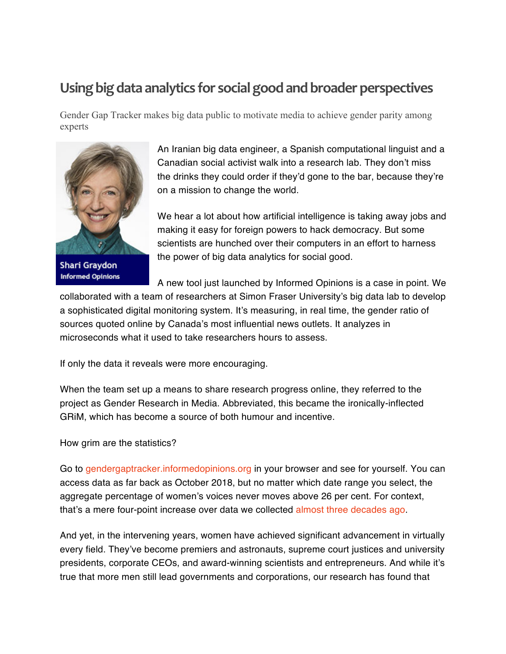## **Using big data analytics for social good and broader perspectives**

Gender Gap Tracker makes big data public to motivate media to achieve gender parity among experts



**Shari Graydon Informed Opinions** 

An Iranian big data engineer, a Spanish computational linguist and a Canadian social activist walk into a research lab. They don't miss the drinks they could order if they'd gone to the bar, because they're on a mission to change the world.

We hear a lot about how artificial intelligence is taking away jobs and making it easy for foreign powers to hack democracy. But some scientists are hunched over their computers in an effort to harness the power of big data analytics for social good.

A new tool just launched by Informed Opinions is a case in point. We

collaborated with a team of researchers at Simon Fraser University's big data lab to develop a sophisticated digital monitoring system. It's measuring, in real time, the gender ratio of sources quoted online by Canada's most influential news outlets. It analyzes in microseconds what it used to take researchers hours to assess.

If only the data it reveals were more encouraging.

When the team set up a means to share research progress online, they referred to the project as Gender Research in Media. Abbreviated, this became the ironically-inflected GRiM, which has become a source of both humour and incentive.

How grim are the statistics?

Go to gendergaptracker.informedopinions.org in your browser and see for yourself. You can access data as far back as October 2018, but no matter which date range you select, the aggregate percentage of women's voices never moves above 26 per cent. For context, that's a mere four-point increase over data we collected almost three decades ago.

And yet, in the intervening years, women have achieved significant advancement in virtually every field. They've become premiers and astronauts, supreme court justices and university presidents, corporate CEOs, and award-winning scientists and entrepreneurs. And while it's true that more men still lead governments and corporations, our research has found that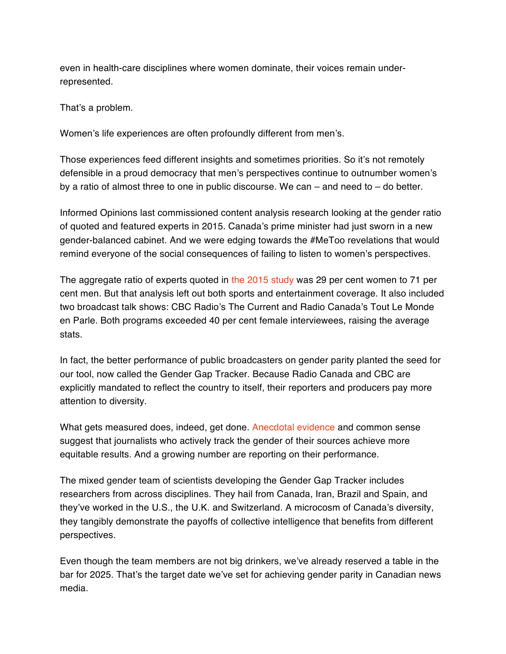even in health-care disciplines where women dominate, their voices remain underrepresented.

That's a problem.

Women's life experiences are often profoundly different from men's.

Those experiences feed different insights and sometimes priorities. So it's not remotely defensible in a proud democracy that men's perspectives continue to outnumber women's by a ratio of almost three to one in public discourse. We can – and need to – do better.

Informed Opinions last commissioned content analysis research looking at the gender ratio of quoted and featured experts in 2015. Canada's prime minister had just sworn in a new gender-balanced cabinet. And we were edging towards the #MeToo revelations that would remind everyone of the social consequences of failing to listen to women's perspectives.

The aggregate ratio of experts quoted in the 2015 study was 29 per cent women to 71 per cent men. But that analysis left out both sports and entertainment coverage. It also included two broadcast talk shows: CBC Radio's The Current and Radio Canada's Tout Le Monde en Parle. Both programs exceeded 40 per cent female interviewees, raising the average stats.

In fact, the better performance of public broadcasters on gender parity planted the seed for our tool, now called the Gender Gap Tracker. Because Radio Canada and CBC are explicitly mandated to reflect the country to itself, their reporters and producers pay more attention to diversity.

What gets measured does, indeed, get done. Anecdotal evidence and common sense suggest that journalists who actively track the gender of their sources achieve more equitable results. And a growing number are reporting on their performance.

The mixed gender team of scientists developing the Gender Gap Tracker includes researchers from across disciplines. They hail from Canada, Iran, Brazil and Spain, and they've worked in the U.S., the U.K. and Switzerland. A microcosm of Canada's diversity, they tangibly demonstrate the payoffs of collective intelligence that benefits from different perspectives.

Even though the team members are not big drinkers, we've already reserved a table in the bar for 2025. That's the target date we've set for achieving gender parity in Canadian news media.